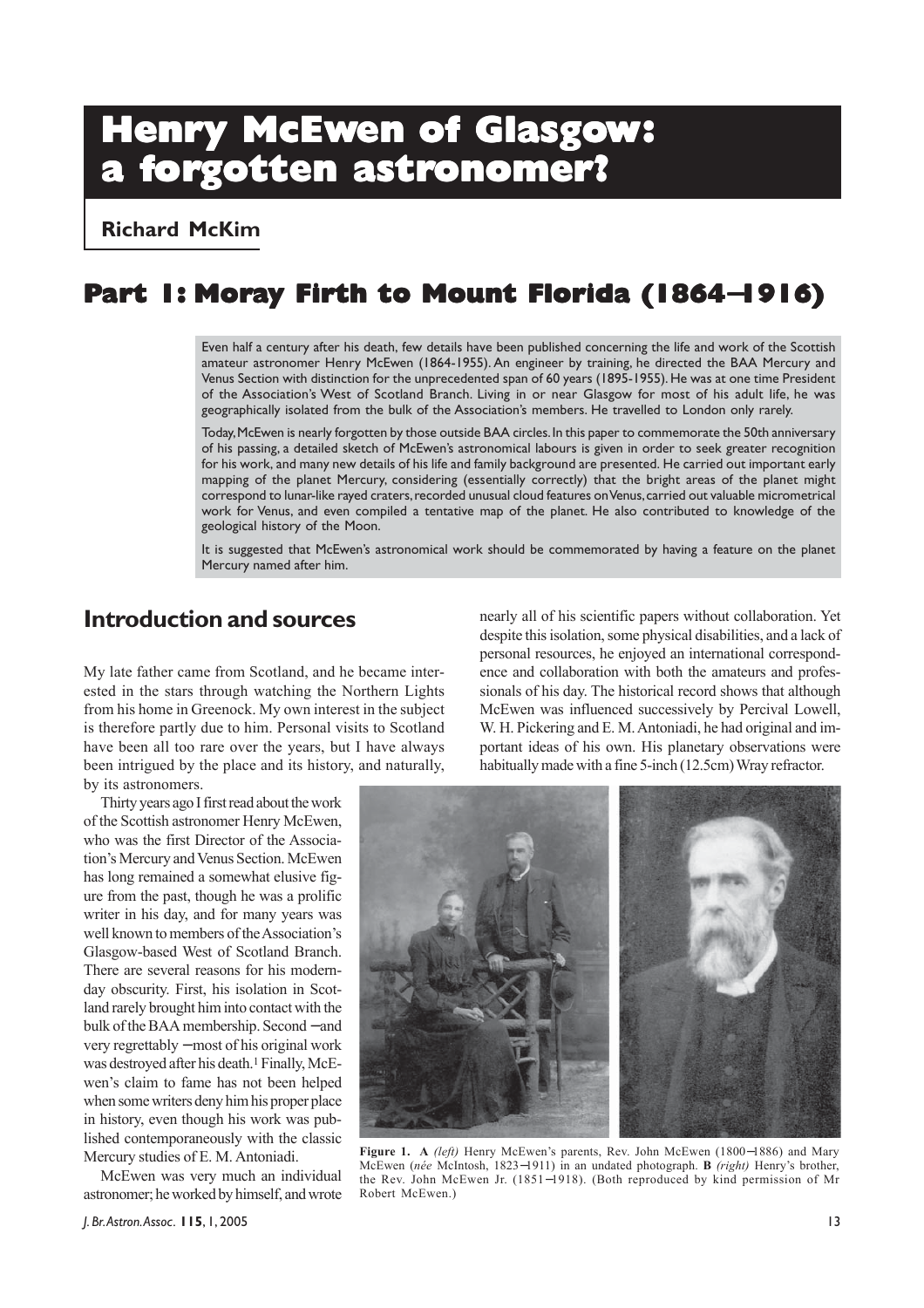# **Henry McEwen of Glasgow: a forgotten astr gotten astronomer? onomer?onomer?**

**Richard McKim**

# **Part 1: Moray Firth to Mount Florida (1864**−**1916)**

Even half a century after his death, few details have been published concerning the life and work of the Scottish amateur astronomer Henry McEwen (1864-1955). An engineer by training, he directed the BAA Mercury and Venus Section with distinction for the unprecedented span of 60 years (1895-1955). He was at one time President of the Association's West of Scotland Branch. Living in or near Glasgow for most of his adult life, he was geographically isolated from the bulk of the Association's members. He travelled to London only rarely.

Today, McEwen is nearly forgotten by those outside BAA circles. In this paper to commemorate the 50th anniversary of his passing, a detailed sketch of McEwen's astronomical labours is given in order to seek greater recognition for his work, and many new details of his life and family background are presented. He carried out important early mapping of the planet Mercury, considering (essentially correctly) that the bright areas of the planet might correspond to lunar-like rayed craters, recorded unusual cloud features on Venus, carried out valuable micrometrical work for Venus, and even compiled a tentative map of the planet. He also contributed to knowledge of the geological history of the Moon.

It is suggested that McEwen's astronomical work should be commemorated by having a feature on the planet Mercury named after him.

### **Introduction and sources**

My late father came from Scotland, and he became interested in the stars through watching the Northern Lights from his home in Greenock. My own interest in the subject is therefore partly due to him. Personal visits to Scotland have been all too rare over the years, but I have always been intrigued by the place and its history, and naturally, by its astronomers.

Thirty years ago I first read about the work of the Scottish astronomer Henry McEwen, who was the first Director of the Association's Mercury and Venus Section. McEwen has long remained a somewhat elusive figure from the past, though he was a prolific writer in his day, and for many years was well known to members of the Association's Glasgow-based West of Scotland Branch. There are several reasons for his modernday obscurity. First, his isolation in Scotland rarely brought him into contact with the bulk of the BAA membership. Second − and very regrettably − most of his original work was destroyed after his death.<sup>1</sup> Finally, McEwen's claim to fame has not been helped when some writers deny him his proper place in history, even though his work was published contemporaneously with the classic Mercury studies of E. M. Antoniadi.

McEwen was very much an individual astronomer; he worked by himself, and wrote nearly all of his scientific papers without collaboration. Yet despite this isolation, some physical disabilities, and a lack of personal resources, he enjoyed an international correspondence and collaboration with both the amateurs and professionals of his day. The historical record shows that although McEwen was influenced successively by Percival Lowell, W. H. Pickering and E. M. Antoniadi, he had original and important ideas of his own. His planetary observations were habitually made with a fine 5-inch (12.5cm) Wray refractor.



**Figure 1. A** *(left)* Henry McEwen's parents, Rev. John McEwen (1800−1886) and Mary McEwen (*née* McIntosh, 1823−1911) in an undated photograph. **B** *(right)* Henry's brother, the Rev. John McEwen Jr. (1851−1918). (Both reproduced by kind permission of Mr Robert McEwen.)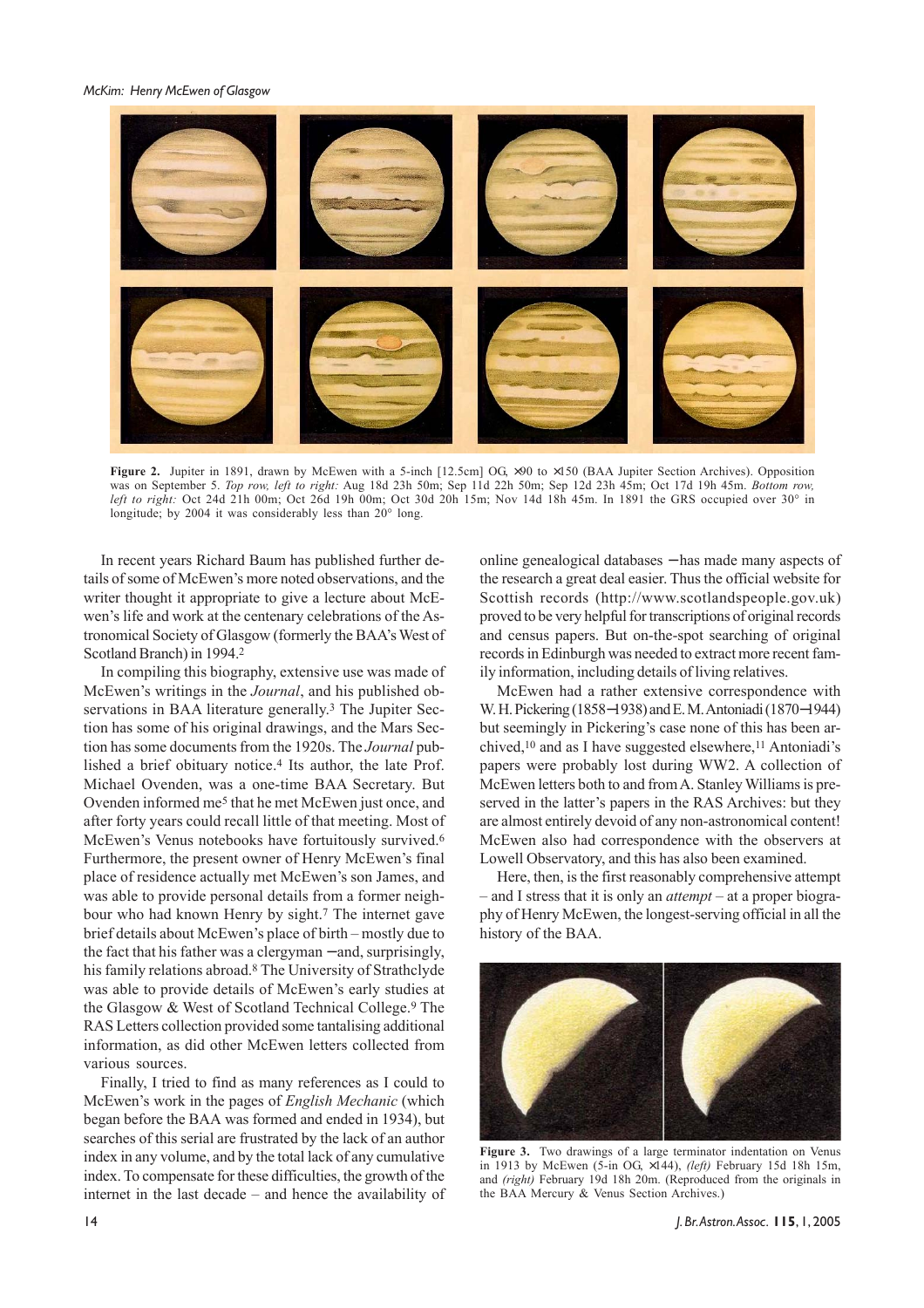*McKim: Henry McEwen of Glasgow*



**Figure 2.** Jupiter in 1891, drawn by McEwen with a 5-inch [12.5cm] OG  $\times$ 90 to  $\times$ 150 (BAA Jupiter Section Archives). Opposition was on September 5. *Top row, left to right:* Aug 18d 23h 50m; Sep 11d 22h 50m; Sep 12d 23h 45m; Oct 17d 19h 45m. *Bottom row, left to right:* Oct 24d 21h 00m; Oct 26d 19h 00m; Oct 30d 20h 15m; Nov 14d 18h 45m. In 1891 the GRS occupied over 30° in longitude; by 2004 it was considerably less than 20° long.

In recent years Richard Baum has published further details of some of McEwen's more noted observations, and the writer thought it appropriate to give a lecture about McEwen's life and work at the centenary celebrations of the Astronomical Society of Glasgow (formerly the BAA's West of Scotland Branch) in 1994.2

In compiling this biography, extensive use was made of McEwen's writings in the *Journal*, and his published observations in BAA literature generally.<sup>3</sup> The Jupiter Section has some of his original drawings, and the Mars Section has some documents from the 1920s. The *Journal* published a brief obituary notice.4 Its author, the late Prof. Michael Ovenden, was a one-time BAA Secretary. But Ovenden informed me5 that he met McEwen just once, and after forty years could recall little of that meeting. Most of McEwen's Venus notebooks have fortuitously survived.6 Furthermore, the present owner of Henry McEwen's final place of residence actually met McEwen's son James, and was able to provide personal details from a former neighbour who had known Henry by sight.7 The internet gave brief details about McEwen's place of birth – mostly due to the fact that his father was a clergyman − and, surprisingly, his family relations abroad.8 The University of Strathclyde was able to provide details of McEwen's early studies at the Glasgow & West of Scotland Technical College.9 The RAS Letters collection provided some tantalising additional information, as did other McEwen letters collected from various sources.

Finally, I tried to find as many references as I could to McEwen's work in the pages of *English Mechanic* (which began before the BAA was formed and ended in 1934), but searches of this serial are frustrated by the lack of an author index in any volume, and by the total lack of any cumulative index. To compensate for these difficulties, the growth of the internet in the last decade – and hence the availability of online genealogical databases − has made many aspects of the research a great deal easier. Thus the official website for Scottish records (http://www.scotlandspeople.gov.uk) proved to be very helpful for transcriptions of original records and census papers. But on-the-spot searching of original records in Edinburgh was needed to extract more recent family information, including details of living relatives.

McEwen had a rather extensive correspondence with W. H. Pickering (1858−1938) and E. M. Antoniadi (1870−1944) but seemingly in Pickering's case none of this has been archived,<sup>10</sup> and as I have suggested elsewhere,<sup>11</sup> Antoniadi's papers were probably lost during WW2. A collection of McEwen letters both to and from A. Stanley Williams is preserved in the latter's papers in the RAS Archives: but they are almost entirely devoid of any non-astronomical content! McEwen also had correspondence with the observers at Lowell Observatory, and this has also been examined.

Here, then, is the first reasonably comprehensive attempt – and I stress that it is only an *attempt* – at a proper biography of Henry McEwen, the longest-serving official in all the history of the BAA.



**Figure 3.** Two drawings of a large terminator indentation on Venus in 1913 by McEwen (5-in OG, ×144), *(left)* February 15d 18h 15m, and *(right)* February 19d 18h 20m. (Reproduced from the originals in the BAA Mercury & Venus Section Archives.)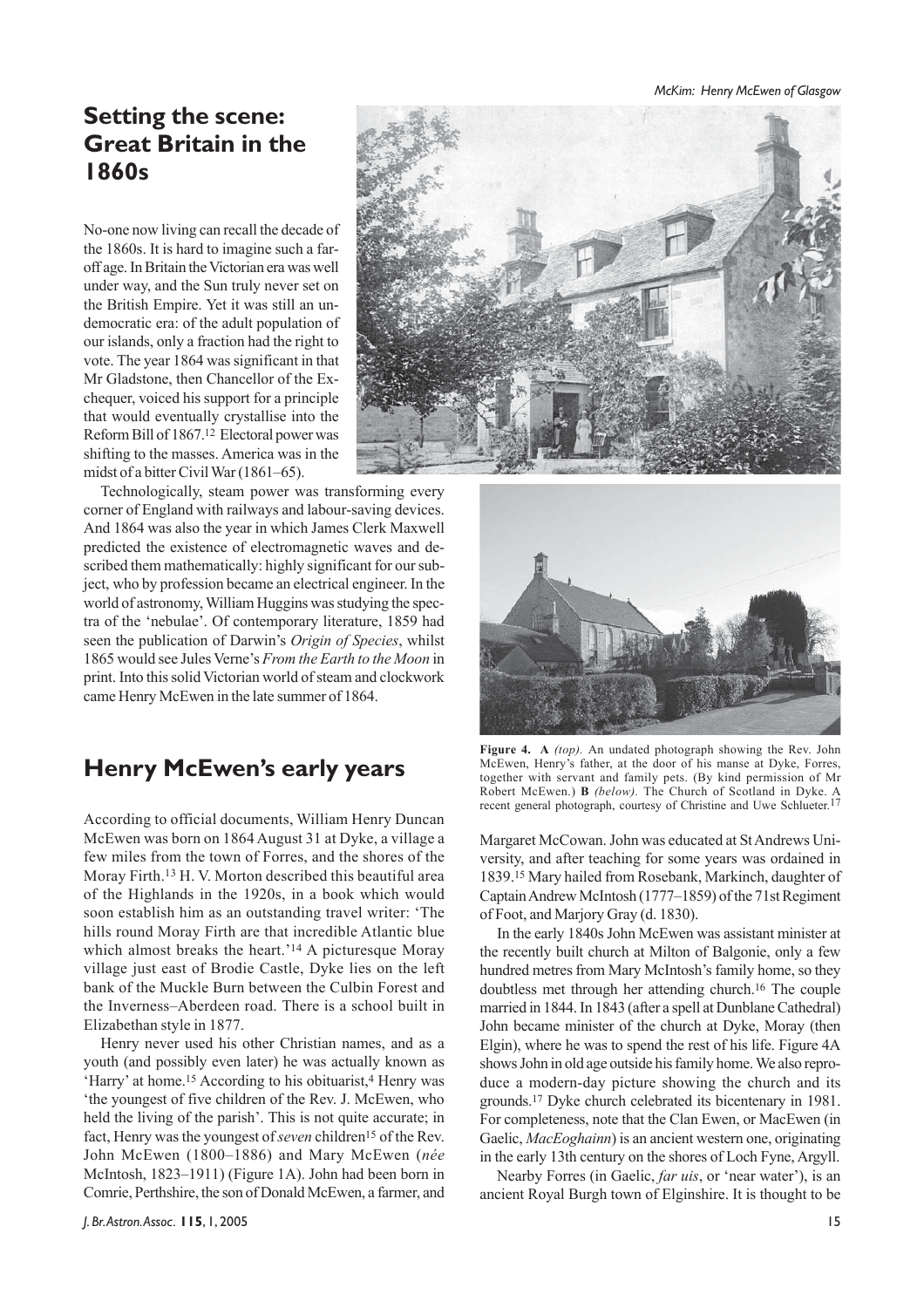*McKim: Henry McEwen of Glasgow*

# **Setting the scene: Great Britain in the 1860s**

No-one now living can recall the decade of the 1860s. It is hard to imagine such a faroff age. In Britain the Victorian era was well under way, and the Sun truly never set on the British Empire. Yet it was still an undemocratic era: of the adult population of our islands, only a fraction had the right to vote. The year 1864 was significant in that Mr Gladstone, then Chancellor of the Exchequer, voiced his support for a principle that would eventually crystallise into the Reform Bill of 1867.12 Electoral power was shifting to the masses. America was in the midst of a bitter Civil War (1861–65).



Technologically, steam power was transforming every corner of England with railways and labour-saving devices. And 1864 was also the year in which James Clerk Maxwell predicted the existence of electromagnetic waves and described them mathematically: highly significant for our subject, who by profession became an electrical engineer. In the world of astronomy, William Huggins was studying the spectra of the 'nebulae'. Of contemporary literature, 1859 had seen the publication of Darwin's *Origin of Species*, whilst 1865 would see Jules Verne's *From the Earth to the Moon* in print. Into this solid Victorian world of steam and clockwork came Henry McEwen in the late summer of 1864.

# **Henry McEwen's early years**

According to official documents, William Henry Duncan McEwen was born on 1864 August 31 at Dyke, a village a few miles from the town of Forres, and the shores of the Moray Firth.13 H. V. Morton described this beautiful area of the Highlands in the 1920s, in a book which would soon establish him as an outstanding travel writer: 'The hills round Moray Firth are that incredible Atlantic blue which almost breaks the heart.<sup>'14</sup> A picturesque Moray village just east of Brodie Castle, Dyke lies on the left bank of the Muckle Burn between the Culbin Forest and the Inverness–Aberdeen road. There is a school built in Elizabethan style in 1877.

Henry never used his other Christian names, and as a youth (and possibly even later) he was actually known as 'Harry' at home.<sup>15</sup> According to his obituarist,<sup>4</sup> Henry was 'the youngest of five children of the Rev. J. McEwen, who held the living of the parish'. This is not quite accurate; in fact, Henry was the youngest of *seven* children<sup>15</sup> of the Rev. John McEwen (1800–1886) and Mary McEwen (*née* McIntosh, 1823–1911) (Figure 1A). John had been born in Comrie, Perthshire, the son of Donald McEwen, a farmer, and



**Figure 4. A** *(top).* An undated photograph showing the Rev. John McEwen, Henry's father, at the door of his manse at Dyke, Forres, together with servant and family pets. (By kind permission of Mr Robert McEwen.) **B** *(below).* The Church of Scotland in Dyke. A recent general photograph, courtesy of Christine and Uwe Schlueter.<sup>17</sup>

Margaret McCowan. John was educated at St Andrews University, and after teaching for some years was ordained in 1839.15 Mary hailed from Rosebank, Markinch, daughter of Captain Andrew McIntosh (1777–1859) of the 71st Regiment of Foot, and Marjory Gray (d. 1830).

In the early 1840s John McEwen was assistant minister at the recently built church at Milton of Balgonie, only a few hundred metres from Mary McIntosh's family home, so they doubtless met through her attending church.16 The couple married in 1844. In 1843 (after a spell at Dunblane Cathedral) John became minister of the church at Dyke, Moray (then Elgin), where he was to spend the rest of his life. Figure 4A shows John in old age outside his family home. We also reproduce a modern-day picture showing the church and its grounds.17 Dyke church celebrated its bicentenary in 1981. For completeness, note that the Clan Ewen, or MacEwen (in Gaelic, *MacEoghainn*) is an ancient western one, originating in the early 13th century on the shores of Loch Fyne, Argyll.

Nearby Forres (in Gaelic, *far uis*, or 'near water'), is an ancient Royal Burgh town of Elginshire. It is thought to be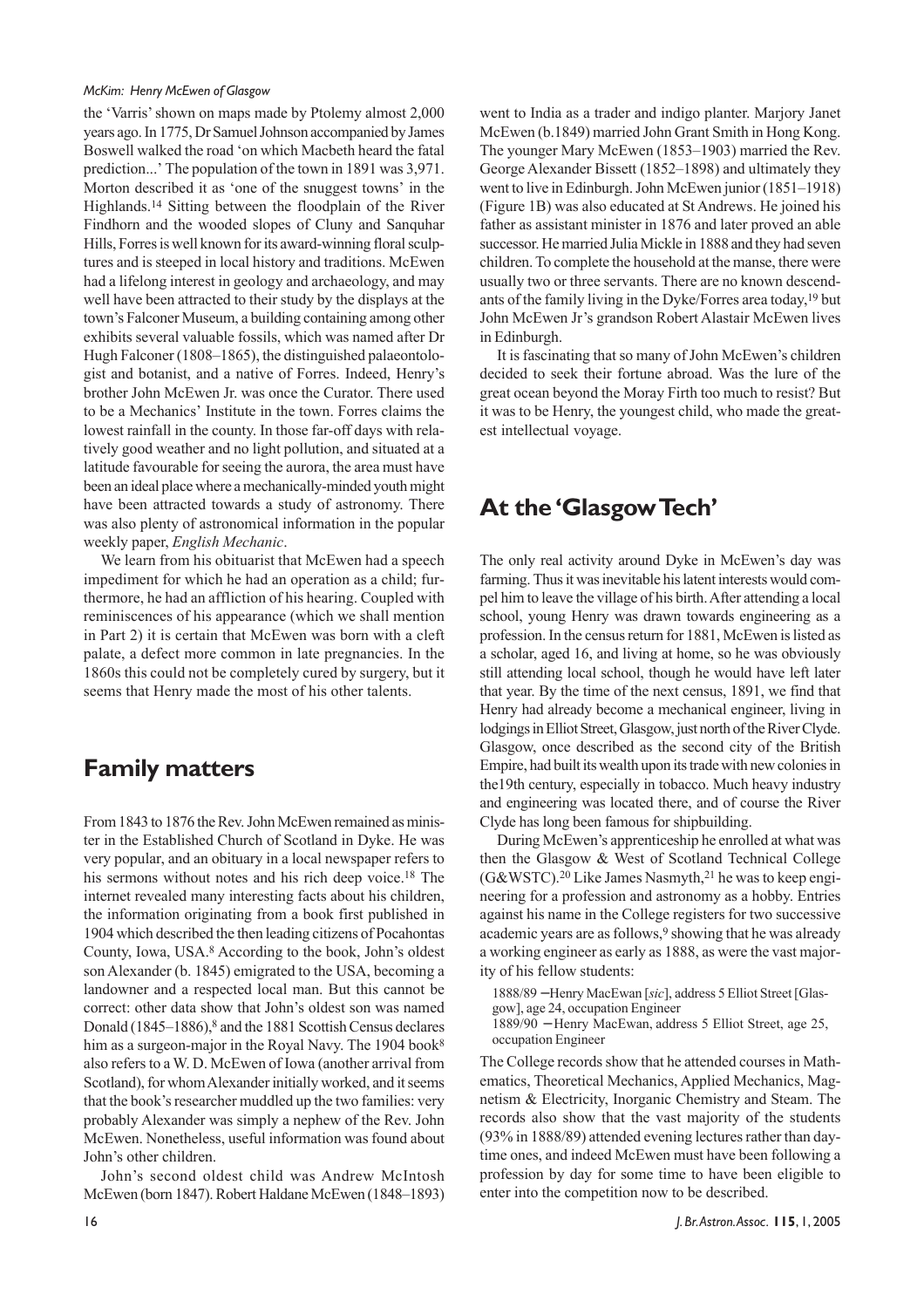the 'Varris' shown on maps made by Ptolemy almost 2,000 years ago. In 1775, Dr Samuel Johnson accompanied by James Boswell walked the road 'on which Macbeth heard the fatal prediction...' The population of the town in 1891 was 3,971. Morton described it as 'one of the snuggest towns' in the Highlands.14 Sitting between the floodplain of the River Findhorn and the wooded slopes of Cluny and Sanquhar Hills, Forres is well known for its award-winning floral sculptures and is steeped in local history and traditions. McEwen had a lifelong interest in geology and archaeology, and may well have been attracted to their study by the displays at the town's Falconer Museum, a building containing among other exhibits several valuable fossils, which was named after Dr Hugh Falconer (1808–1865), the distinguished palaeontologist and botanist, and a native of Forres. Indeed, Henry's brother John McEwen Jr. was once the Curator. There used to be a Mechanics' Institute in the town. Forres claims the lowest rainfall in the county. In those far-off days with relatively good weather and no light pollution, and situated at a latitude favourable for seeing the aurora, the area must have been an ideal place where a mechanically-minded youth might have been attracted towards a study of astronomy. There was also plenty of astronomical information in the popular weekly paper, *English Mechanic*.

We learn from his obituarist that McEwen had a speech impediment for which he had an operation as a child; furthermore, he had an affliction of his hearing. Coupled with reminiscences of his appearance (which we shall mention in Part 2) it is certain that McEwen was born with a cleft palate, a defect more common in late pregnancies. In the 1860s this could not be completely cured by surgery, but it seems that Henry made the most of his other talents.

# **Family matters**

From 1843 to 1876 the Rev. John McEwen remained as minister in the Established Church of Scotland in Dyke. He was very popular, and an obituary in a local newspaper refers to his sermons without notes and his rich deep voice.<sup>18</sup> The internet revealed many interesting facts about his children, the information originating from a book first published in 1904 which described the then leading citizens of Pocahontas County, Iowa, USA.8 According to the book, John's oldest son Alexander (b. 1845) emigrated to the USA, becoming a landowner and a respected local man. But this cannot be correct: other data show that John's oldest son was named Donald (1845–1886),<sup>8</sup> and the 1881 Scottish Census declares him as a surgeon-major in the Royal Navy. The 1904 book<sup>8</sup> also refers to a W. D. McEwen of Iowa (another arrival from Scotland), for whom Alexander initially worked, and it seems that the book's researcher muddled up the two families: very probably Alexander was simply a nephew of the Rev. John McEwen. Nonetheless, useful information was found about John's other children.

John's second oldest child was Andrew McIntosh McEwen (born 1847). Robert Haldane McEwen (1848–1893) went to India as a trader and indigo planter. Marjory Janet McEwen (b.1849) married John Grant Smith in Hong Kong. The younger Mary McEwen (1853–1903) married the Rev. George Alexander Bissett (1852–1898) and ultimately they went to live in Edinburgh. John McEwen junior (1851–1918) (Figure 1B) was also educated at St Andrews. He joined his father as assistant minister in 1876 and later proved an able successor. He married Julia Mickle in 1888 and they had seven children. To complete the household at the manse, there were usually two or three servants. There are no known descendants of the family living in the Dyke/Forres area today,19 but John McEwen Jr's grandson Robert Alastair McEwen lives in Edinburgh.

It is fascinating that so many of John McEwen's children decided to seek their fortune abroad. Was the lure of the great ocean beyond the Moray Firth too much to resist? But it was to be Henry, the youngest child, who made the greatest intellectual voyage.

# **At the 'Glasgow Tech'**

The only real activity around Dyke in McEwen's day was farming. Thus it was inevitable his latent interests would compel him to leave the village of his birth. After attending a local school, young Henry was drawn towards engineering as a profession. In the census return for 1881, McEwen is listed as a scholar, aged 16, and living at home, so he was obviously still attending local school, though he would have left later that year. By the time of the next census, 1891, we find that Henry had already become a mechanical engineer, living in lodgings in Elliot Street, Glasgow, just north of the River Clyde. Glasgow, once described as the second city of the British Empire, had built its wealth upon its trade with new colonies in the19th century, especially in tobacco. Much heavy industry and engineering was located there, and of course the River Clyde has long been famous for shipbuilding.

During McEwen's apprenticeship he enrolled at what was then the Glasgow & West of Scotland Technical College  $(G&WSTC).<sup>20</sup>$  Like James Nasmyth,<sup>21</sup> he was to keep engineering for a profession and astronomy as a hobby. Entries against his name in the College registers for two successive academic years are as follows,<sup>9</sup> showing that he was already a working engineer as early as 1888, as were the vast majority of his fellow students:

1888/89 − Henry MacEwan [*sic*], address 5 Elliot Street [Glas-

gow], age 24, occupation Engineer

1889/90 − Henry MacEwan, address 5 Elliot Street, age 25, occupation Engineer

The College records show that he attended courses in Mathematics, Theoretical Mechanics, Applied Mechanics, Magnetism & Electricity, Inorganic Chemistry and Steam. The records also show that the vast majority of the students (93% in 1888/89) attended evening lectures rather than daytime ones, and indeed McEwen must have been following a profession by day for some time to have been eligible to enter into the competition now to be described.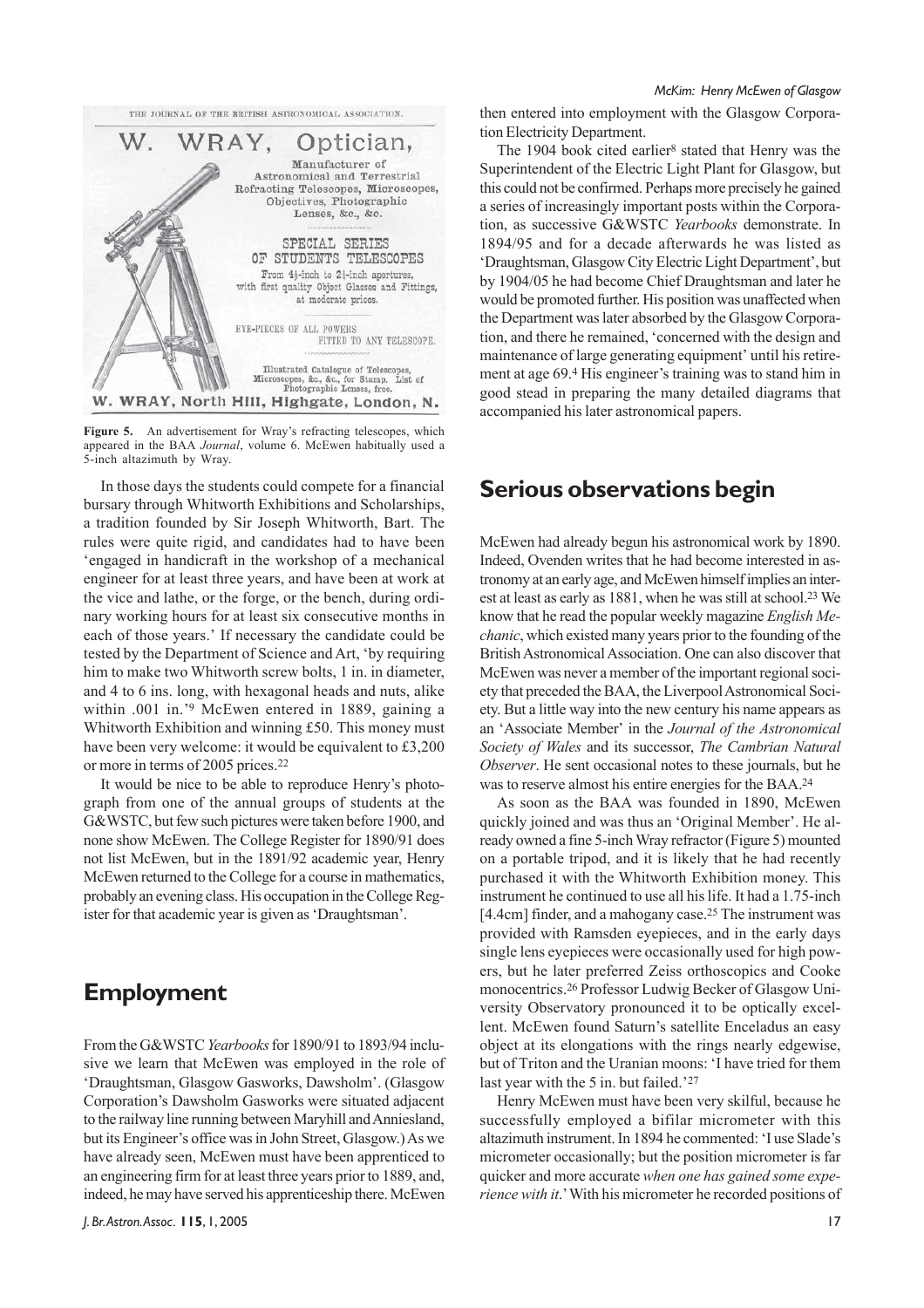

Figure 5. An advertisement for Wray's refracting telescopes, which appeared in the BAA *Journal*, volume 6. McEwen habitually used a 5-inch altazimuth by Wray.

In those days the students could compete for a financial bursary through Whitworth Exhibitions and Scholarships, a tradition founded by Sir Joseph Whitworth, Bart. The rules were quite rigid, and candidates had to have been 'engaged in handicraft in the workshop of a mechanical engineer for at least three years, and have been at work at the vice and lathe, or the forge, or the bench, during ordinary working hours for at least six consecutive months in each of those years.' If necessary the candidate could be tested by the Department of Science and Art, 'by requiring him to make two Whitworth screw bolts, 1 in. in diameter, and 4 to 6 ins. long, with hexagonal heads and nuts, alike within .001 in.'<sup>9</sup> McEwen entered in 1889, gaining a Whitworth Exhibition and winning £50. This money must have been very welcome: it would be equivalent to £3,200 or more in terms of 2005 prices.22

It would be nice to be able to reproduce Henry's photograph from one of the annual groups of students at the G&WSTC, but few such pictures were taken before 1900, and none show McEwen. The College Register for 1890/91 does not list McEwen, but in the 1891/92 academic year, Henry McEwen returned to the College for a course in mathematics, probably an evening class. His occupation in the College Register for that academic year is given as 'Draughtsman'.

### **Employment**

From the G&WSTC *Yearbooks* for 1890/91 to 1893/94 inclusive we learn that McEwen was employed in the role of 'Draughtsman, Glasgow Gasworks, Dawsholm'. (Glasgow Corporation's Dawsholm Gasworks were situated adjacent to the railway line running between Maryhill and Anniesland, but its Engineer's office was in John Street, Glasgow.) As we have already seen, McEwen must have been apprenticed to an engineering firm for at least three years prior to 1889, and, indeed, he may have served his apprenticeship there. McEwen then entered into employment with the Glasgow Corporation Electricity Department.

The 1904 book cited earlier<sup>8</sup> stated that Henry was the Superintendent of the Electric Light Plant for Glasgow, but this could not be confirmed. Perhaps more precisely he gained a series of increasingly important posts within the Corporation, as successive G&WSTC *Yearbooks* demonstrate. In 1894/95 and for a decade afterwards he was listed as 'Draughtsman, Glasgow City Electric Light Department', but by 1904/05 he had become Chief Draughtsman and later he would be promoted further. His position was unaffected when the Department was later absorbed by the Glasgow Corporation, and there he remained, 'concerned with the design and maintenance of large generating equipment' until his retirement at age 69.4 His engineer's training was to stand him in good stead in preparing the many detailed diagrams that accompanied his later astronomical papers.

### **Serious observations begin**

McEwen had already begun his astronomical work by 1890. Indeed, Ovenden writes that he had become interested in astronomy at an early age, and McEwen himself implies an interest at least as early as 1881, when he was still at school.23 We know that he read the popular weekly magazine *English Mechanic*, which existed many years prior to the founding of the British Astronomical Association. One can also discover that McEwen was never a member of the important regional society that preceded the BAA, the Liverpool Astronomical Society. But a little way into the new century his name appears as an 'Associate Member' in the *Journal of the Astronomical Society of Wales* and its successor, *The Cambrian Natural Observer*. He sent occasional notes to these journals, but he was to reserve almost his entire energies for the BAA.24

As soon as the BAA was founded in 1890, McEwen quickly joined and was thus an 'Original Member'. He already owned a fine 5-inch Wray refractor (Figure 5) mounted on a portable tripod, and it is likely that he had recently purchased it with the Whitworth Exhibition money. This instrument he continued to use all his life. It had a 1.75-inch [4.4cm] finder, and a mahogany case.<sup>25</sup> The instrument was provided with Ramsden eyepieces, and in the early days single lens eyepieces were occasionally used for high powers, but he later preferred Zeiss orthoscopics and Cooke monocentrics.26 Professor Ludwig Becker of Glasgow University Observatory pronounced it to be optically excellent. McEwen found Saturn's satellite Enceladus an easy object at its elongations with the rings nearly edgewise, but of Triton and the Uranian moons: 'I have tried for them last year with the 5 in. but failed.'27

Henry McEwen must have been very skilful, because he successfully employed a bifilar micrometer with this altazimuth instrument. In 1894 he commented: 'I use Slade's micrometer occasionally; but the position micrometer is far quicker and more accurate *when one has gained some experience with it*.' With his micrometer he recorded positions of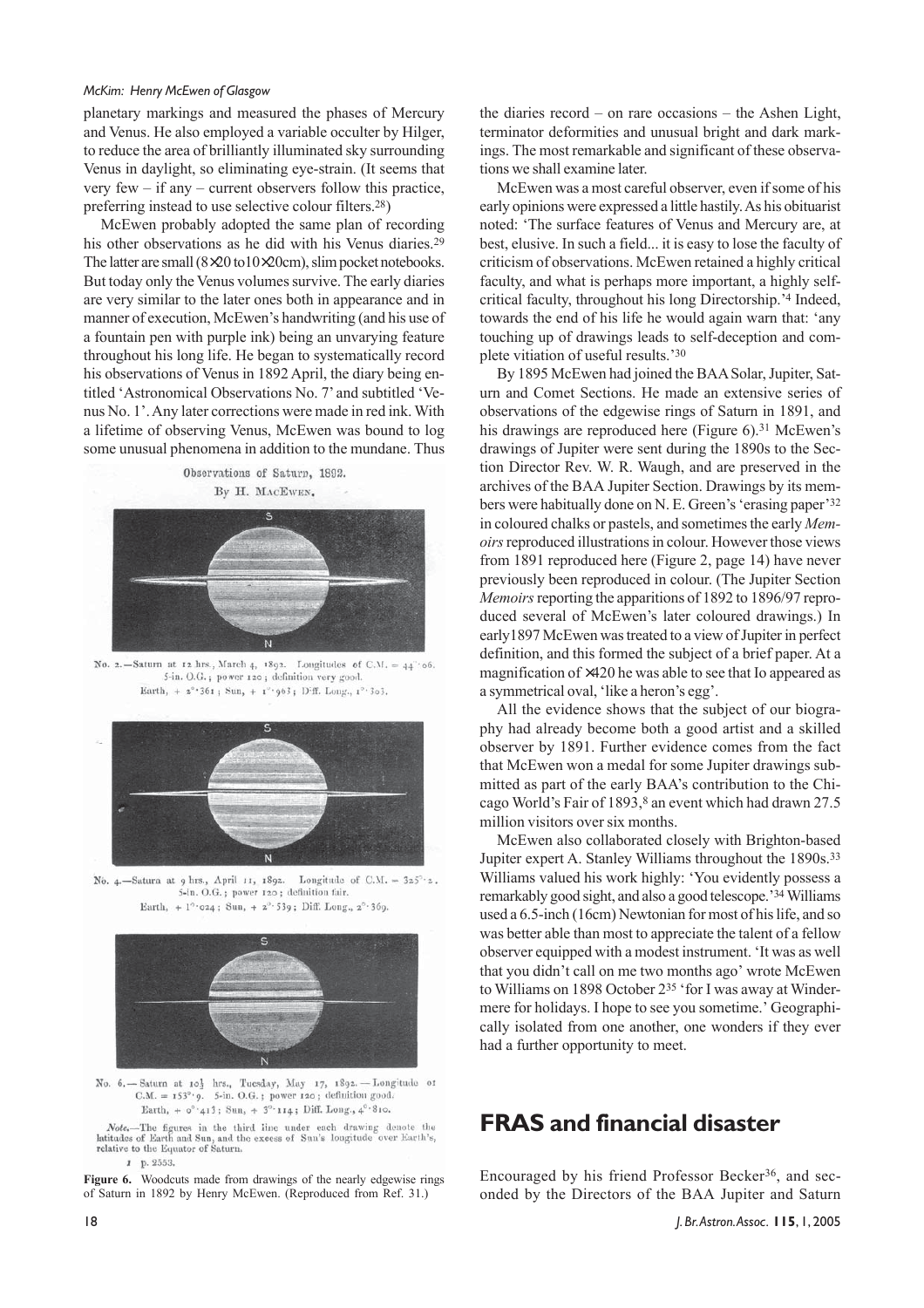planetary markings and measured the phases of Mercury and Venus. He also employed a variable occulter by Hilger, to reduce the area of brilliantly illuminated sky surrounding Venus in daylight, so eliminating eye-strain. (It seems that very few – if any – current observers follow this practice, preferring instead to use selective colour filters.28)

McEwen probably adopted the same plan of recording his other observations as he did with his Venus diaries.<sup>29</sup> The latter are small (8×20 to10×20cm), slim pocket notebooks. But today only the Venus volumes survive. The early diaries are very similar to the later ones both in appearance and in manner of execution, McEwen's handwriting (and his use of a fountain pen with purple ink) being an unvarying feature throughout his long life. He began to systematically record his observations of Venus in 1892 April, the diary being entitled 'Astronomical Observations No. 7' and subtitled 'Venus No. 1'. Any later corrections were made in red ink. With a lifetime of observing Venus, McEwen was bound to log some unusual phenomena in addition to the mundane. Thus

Observations of Saturn, 1892. By H. MACEWEN.



No. 2. - Saturn at 12 hrs., March 4, 1892. Longitudes of C.M. =  $44^{\circ}$ 06. 5-in. O.G.; power 120; definition very good. Earth, +  $2^{\circ}$  361; Sun, + 1° 963; D'ff. Long., 1° 303.



No. 4.-Satura at 9 hrs., April 11, 1892. Longitude of C.M. =  $325^\circ \text{·}2$ . 5-in. O.G.; power 120; definition fair. Earth, + 1°·024; Sun, + 2°·539; Diff. Long., 2°·369.



No. 6. - Saturn at 10} hrs., Tuesday, May 17, 1892. - Longitude of  $C.M. = 153^{\circ} \cdot 9$ . 5-in. O.G.; power 120; definition good. Earth, +  $o^{\circ}$  '413; Sun, + 3° 114; Diff. Long., 4° '810.

Note,-The figures in the third line under each drawing denote the latitudes of Earth and Sun, and the excess of Sun's longitude over Earth's, relative to the Equator of Saturn.

 $1 p. 2553$ 

**Figure 6.** Woodcuts made from drawings of the nearly edgewise rings of Saturn in 1892 by Henry McEwen. (Reproduced from Ref. 31.)

the diaries record – on rare occasions – the Ashen Light, terminator deformities and unusual bright and dark markings. The most remarkable and significant of these observations we shall examine later.

McEwen was a most careful observer, even if some of his early opinions were expressed a little hastily. As his obituarist noted: 'The surface features of Venus and Mercury are, at best, elusive. In such a field... it is easy to lose the faculty of criticism of observations. McEwen retained a highly critical faculty, and what is perhaps more important, a highly selfcritical faculty, throughout his long Directorship.'4 Indeed, towards the end of his life he would again warn that: 'any touching up of drawings leads to self-deception and complete vitiation of useful results.'30

By 1895 McEwen had joined the BAA Solar, Jupiter, Saturn and Comet Sections. He made an extensive series of observations of the edgewise rings of Saturn in 1891, and his drawings are reproduced here (Figure 6).<sup>31</sup> McEwen's drawings of Jupiter were sent during the 1890s to the Section Director Rev. W. R. Waugh, and are preserved in the archives of the BAA Jupiter Section. Drawings by its members were habitually done on N. E. Green's 'erasing paper'32 in coloured chalks or pastels, and sometimes the early *Memoirs* reproduced illustrations in colour. However those views from 1891 reproduced here (Figure 2, page 14) have never previously been reproduced in colour. (The Jupiter Section *Memoirs* reporting the apparitions of 1892 to 1896/97 reproduced several of McEwen's later coloured drawings.) In early1897 McEwen was treated to a view of Jupiter in perfect definition, and this formed the subject of a brief paper. At a magnification of ×420 he was able to see that Io appeared as a symmetrical oval, 'like a heron's egg'.

All the evidence shows that the subject of our biography had already become both a good artist and a skilled observer by 1891. Further evidence comes from the fact that McEwen won a medal for some Jupiter drawings submitted as part of the early BAA's contribution to the Chicago World's Fair of 1893,<sup>8</sup> an event which had drawn 27.5 million visitors over six months.

McEwen also collaborated closely with Brighton-based Jupiter expert A. Stanley Williams throughout the 1890s.33 Williams valued his work highly: 'You evidently possess a remarkably good sight, and also a good telescope.'34 Williams used a 6.5-inch (16cm) Newtonian for most of his life, and so was better able than most to appreciate the talent of a fellow observer equipped with a modest instrument. 'It was as well that you didn't call on me two months ago' wrote McEwen to Williams on 1898 October 235 'for I was away at Windermere for holidays. I hope to see you sometime.' Geographically isolated from one another, one wonders if they ever had a further opportunity to meet.

# **FRAS and financial disaster**

Encouraged by his friend Professor Becker36, and seconded by the Directors of the BAA Jupiter and Saturn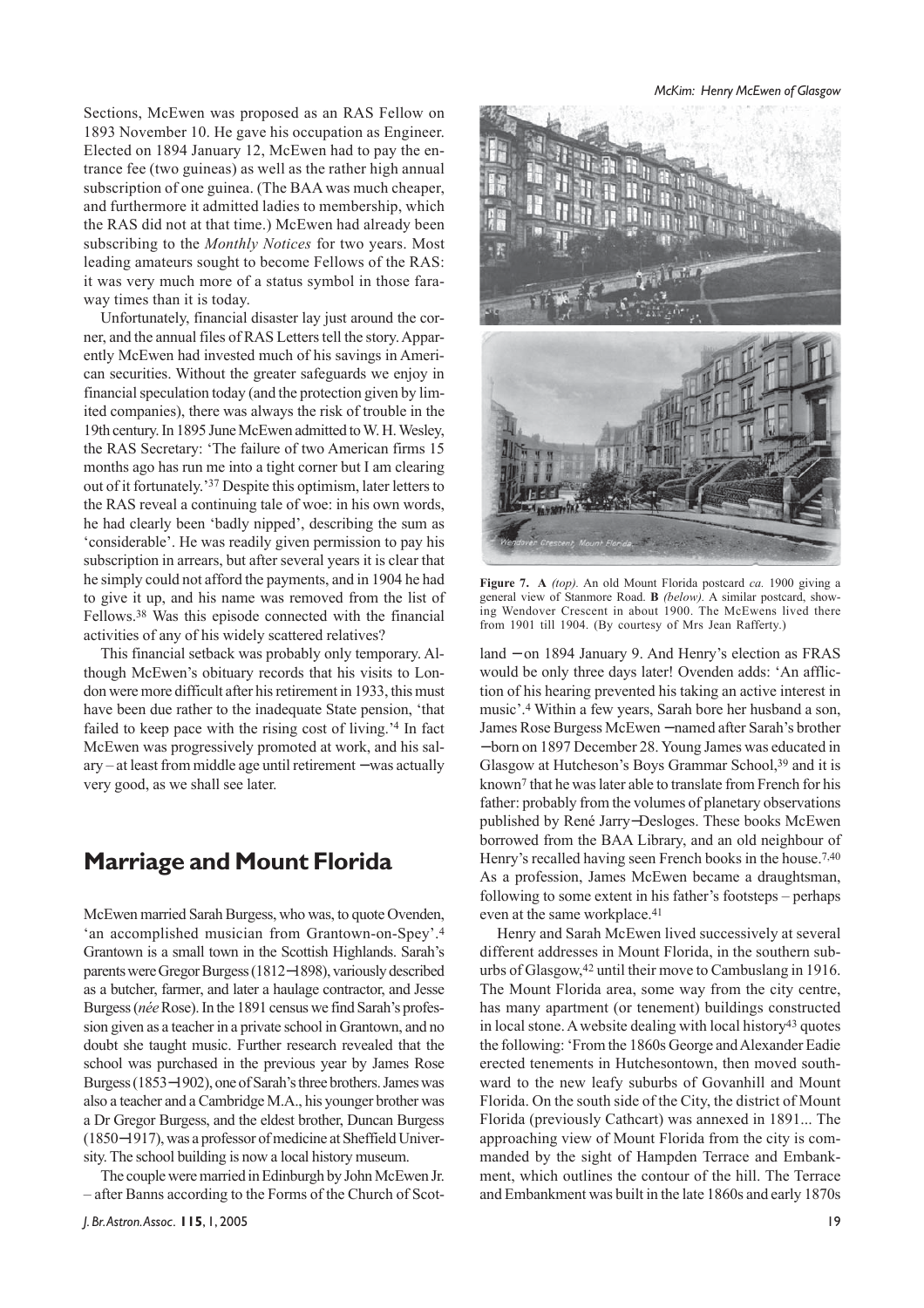Sections, McEwen was proposed as an RAS Fellow on 1893 November 10. He gave his occupation as Engineer. Elected on 1894 January 12, McEwen had to pay the entrance fee (two guineas) as well as the rather high annual subscription of one guinea. (The BAA was much cheaper, and furthermore it admitted ladies to membership, which the RAS did not at that time.) McEwen had already been subscribing to the *Monthly Notices* for two years. Most leading amateurs sought to become Fellows of the RAS: it was very much more of a status symbol in those faraway times than it is today.

Unfortunately, financial disaster lay just around the corner, and the annual files of RAS Letters tell the story. Apparently McEwen had invested much of his savings in American securities. Without the greater safeguards we enjoy in financial speculation today (and the protection given by limited companies), there was always the risk of trouble in the 19th century. In 1895 June McEwen admitted to W. H. Wesley, the RAS Secretary: 'The failure of two American firms 15 months ago has run me into a tight corner but I am clearing out of it fortunately.'37 Despite this optimism, later letters to the RAS reveal a continuing tale of woe: in his own words, he had clearly been 'badly nipped', describing the sum as 'considerable'. He was readily given permission to pay his subscription in arrears, but after several years it is clear that he simply could not afford the payments, and in 1904 he had to give it up, and his name was removed from the list of Fellows.38 Was this episode connected with the financial activities of any of his widely scattered relatives?

This financial setback was probably only temporary. Although McEwen's obituary records that his visits to London were more difficult after his retirement in 1933, this must have been due rather to the inadequate State pension, 'that failed to keep pace with the rising cost of living.'4 In fact McEwen was progressively promoted at work, and his salary – at least from middle age until retirement − was actually very good, as we shall see later.

### **Marriage and Mount Florida**

McEwen married Sarah Burgess, who was, to quote Ovenden, 'an accomplished musician from Grantown-on-Spey'.4 Grantown is a small town in the Scottish Highlands. Sarah's parents were Gregor Burgess (1812−1898), variously described as a butcher, farmer, and later a haulage contractor, and Jesse Burgess (*née* Rose). In the 1891 census we find Sarah's profession given as a teacher in a private school in Grantown, and no doubt she taught music. Further research revealed that the school was purchased in the previous year by James Rose Burgess (1853−1902), one of Sarah's three brothers. James was also a teacher and a Cambridge M.A., his younger brother was a Dr Gregor Burgess, and the eldest brother, Duncan Burgess (1850−1917), was a professor of medicine at Sheffield University. The school building is now a local history museum.

The couple were married in Edinburgh by John McEwen Jr. – after Banns according to the Forms of the Church of Scot-

*McKim: Henry McEwen of Glasgow*



**Figure 7. A** *(top).* An old Mount Florida postcard *ca.* 1900 giving a general view of Stanmore Road. **B** *(below).* A similar postcard, showing Wendover Crescent in about 1900. The McEwens lived there from 1901 till 1904. (By courtesy of Mrs Jean Rafferty.)

land − on 1894 January 9. And Henry's election as FRAS would be only three days later! Ovenden adds: 'An affliction of his hearing prevented his taking an active interest in music'.4 Within a few years, Sarah bore her husband a son, James Rose Burgess McEwen − named after Sarah's brother − born on 1897 December 28. Young James was educated in Glasgow at Hutcheson's Boys Grammar School,<sup>39</sup> and it is known7 that he was later able to translate from French for his father: probably from the volumes of planetary observations published by René Jarry−Desloges. These books McEwen borrowed from the BAA Library, and an old neighbour of Henry's recalled having seen French books in the house.7,40 As a profession, James McEwen became a draughtsman, following to some extent in his father's footsteps – perhaps even at the same workplace.<sup>41</sup>

Henry and Sarah McEwen lived successively at several different addresses in Mount Florida, in the southern suburbs of Glasgow,42 until their move to Cambuslang in 1916. The Mount Florida area, some way from the city centre, has many apartment (or tenement) buildings constructed in local stone. A website dealing with local history<sup>43</sup> quotes the following: 'From the 1860s George and Alexander Eadie erected tenements in Hutchesontown, then moved southward to the new leafy suburbs of Govanhill and Mount Florida. On the south side of the City, the district of Mount Florida (previously Cathcart) was annexed in 1891... The approaching view of Mount Florida from the city is commanded by the sight of Hampden Terrace and Embankment, which outlines the contour of the hill. The Terrace and Embankment was built in the late 1860s and early 1870s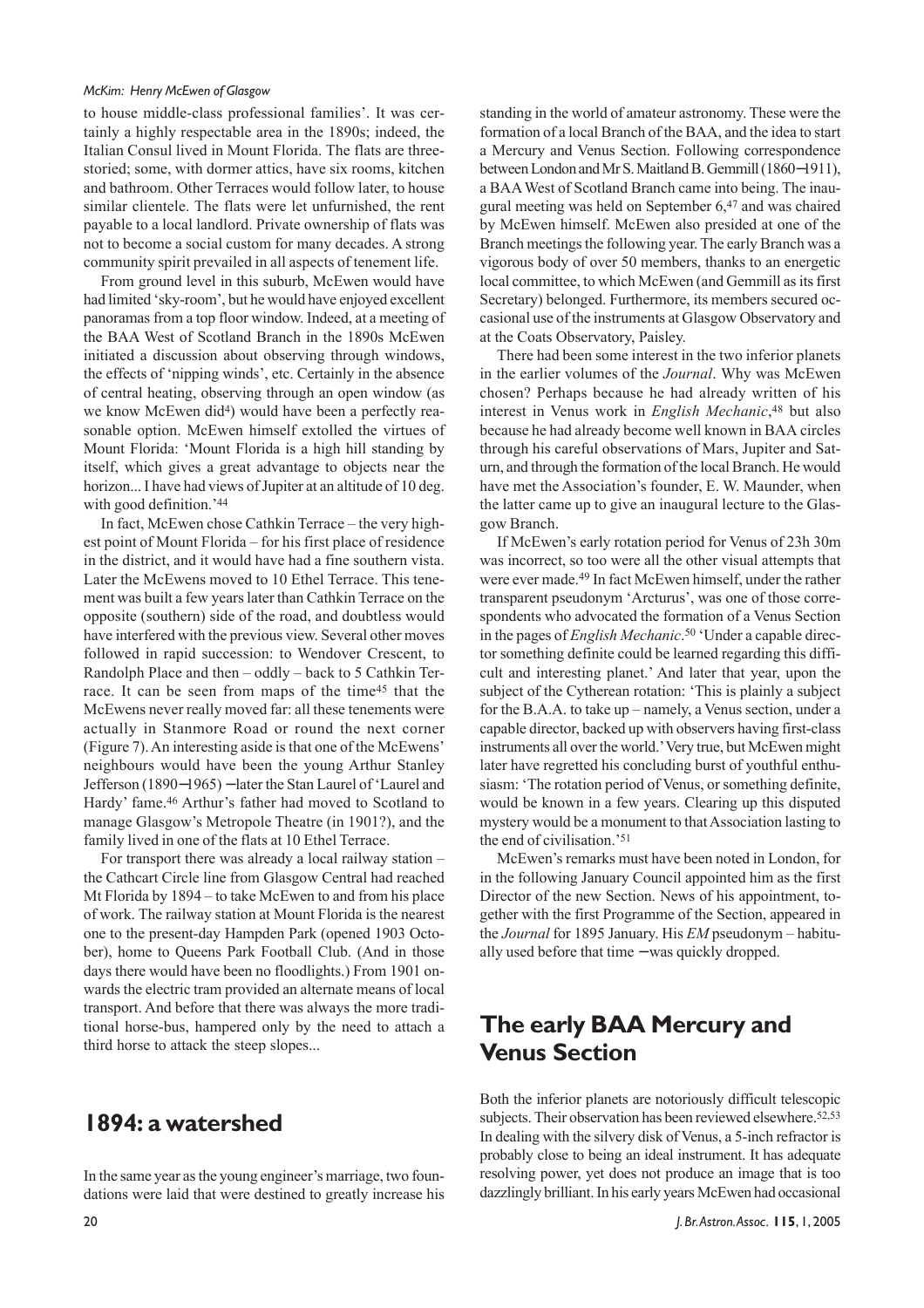to house middle-class professional families'. It was certainly a highly respectable area in the 1890s; indeed, the Italian Consul lived in Mount Florida. The flats are threestoried; some, with dormer attics, have six rooms, kitchen and bathroom. Other Terraces would follow later, to house similar clientele. The flats were let unfurnished, the rent payable to a local landlord. Private ownership of flats was not to become a social custom for many decades. A strong community spirit prevailed in all aspects of tenement life.

From ground level in this suburb, McEwen would have had limited 'sky-room', but he would have enjoyed excellent panoramas from a top floor window. Indeed, at a meeting of the BAA West of Scotland Branch in the 1890s McEwen initiated a discussion about observing through windows, the effects of 'nipping winds', etc. Certainly in the absence of central heating, observing through an open window (as we know McEwen did4) would have been a perfectly reasonable option. McEwen himself extolled the virtues of Mount Florida: 'Mount Florida is a high hill standing by itself, which gives a great advantage to objects near the horizon... I have had views of Jupiter at an altitude of 10 deg. with good definition.'44

In fact, McEwen chose Cathkin Terrace – the very highest point of Mount Florida – for his first place of residence in the district, and it would have had a fine southern vista. Later the McEwens moved to 10 Ethel Terrace. This tenement was built a few years later than Cathkin Terrace on the opposite (southern) side of the road, and doubtless would have interfered with the previous view. Several other moves followed in rapid succession: to Wendover Crescent, to Randolph Place and then – oddly – back to 5 Cathkin Terrace. It can be seen from maps of the time45 that the McEwens never really moved far: all these tenements were actually in Stanmore Road or round the next corner (Figure 7). An interesting aside is that one of the McEwens' neighbours would have been the young Arthur Stanley Jefferson (1890−1965) − later the Stan Laurel of 'Laurel and Hardy' fame.46 Arthur's father had moved to Scotland to manage Glasgow's Metropole Theatre (in 1901?), and the family lived in one of the flats at 10 Ethel Terrace.

For transport there was already a local railway station – the Cathcart Circle line from Glasgow Central had reached Mt Florida by 1894 – to take McEwen to and from his place of work. The railway station at Mount Florida is the nearest one to the present-day Hampden Park (opened 1903 October), home to Queens Park Football Club. (And in those days there would have been no floodlights.) From 1901 onwards the electric tram provided an alternate means of local transport. And before that there was always the more traditional horse-bus, hampered only by the need to attach a third horse to attack the steep slopes...

### **1894: a watershed**

In the same year as the young engineer's marriage, two foundations were laid that were destined to greatly increase his standing in the world of amateur astronomy. These were the formation of a local Branch of the BAA, and the idea to start a Mercury and Venus Section. Following correspondence between London and Mr S. Maitland B. Gemmill (1860−1911), a BAA West of Scotland Branch came into being. The inaugural meeting was held on September 6,47 and was chaired by McEwen himself. McEwen also presided at one of the Branch meetings the following year. The early Branch was a vigorous body of over 50 members, thanks to an energetic local committee, to which McEwen (and Gemmill as its first Secretary) belonged. Furthermore, its members secured occasional use of the instruments at Glasgow Observatory and at the Coats Observatory, Paisley.

There had been some interest in the two inferior planets in the earlier volumes of the *Journal*. Why was McEwen chosen? Perhaps because he had already written of his interest in Venus work in *English Mechanic*,48 but also because he had already become well known in BAA circles through his careful observations of Mars, Jupiter and Saturn, and through the formation of the local Branch. He would have met the Association's founder, E. W. Maunder, when the latter came up to give an inaugural lecture to the Glasgow Branch.

If McEwen's early rotation period for Venus of 23h 30m was incorrect, so too were all the other visual attempts that were ever made.49 In fact McEwen himself, under the rather transparent pseudonym 'Arcturus', was one of those correspondents who advocated the formation of a Venus Section in the pages of *English Mechanic*.50 'Under a capable director something definite could be learned regarding this difficult and interesting planet.' And later that year, upon the subject of the Cytherean rotation: 'This is plainly a subject for the B.A.A. to take up – namely, a Venus section, under a capable director, backed up with observers having first-class instruments all over the world.' Very true, but McEwen might later have regretted his concluding burst of youthful enthusiasm: 'The rotation period of Venus, or something definite, would be known in a few years. Clearing up this disputed mystery would be a monument to that Association lasting to the end of civilisation.'51

McEwen's remarks must have been noted in London, for in the following January Council appointed him as the first Director of the new Section. News of his appointment, together with the first Programme of the Section, appeared in the *Journal* for 1895 January. His *EM* pseudonym – habitually used before that time − was quickly dropped.

# **The early BAA Mercury and Venus Section**

Both the inferior planets are notoriously difficult telescopic subjects. Their observation has been reviewed elsewhere.<sup>52,53</sup> In dealing with the silvery disk of Venus, a 5-inch refractor is probably close to being an ideal instrument. It has adequate resolving power, yet does not produce an image that is too dazzlingly brilliant. In his early years McEwen had occasional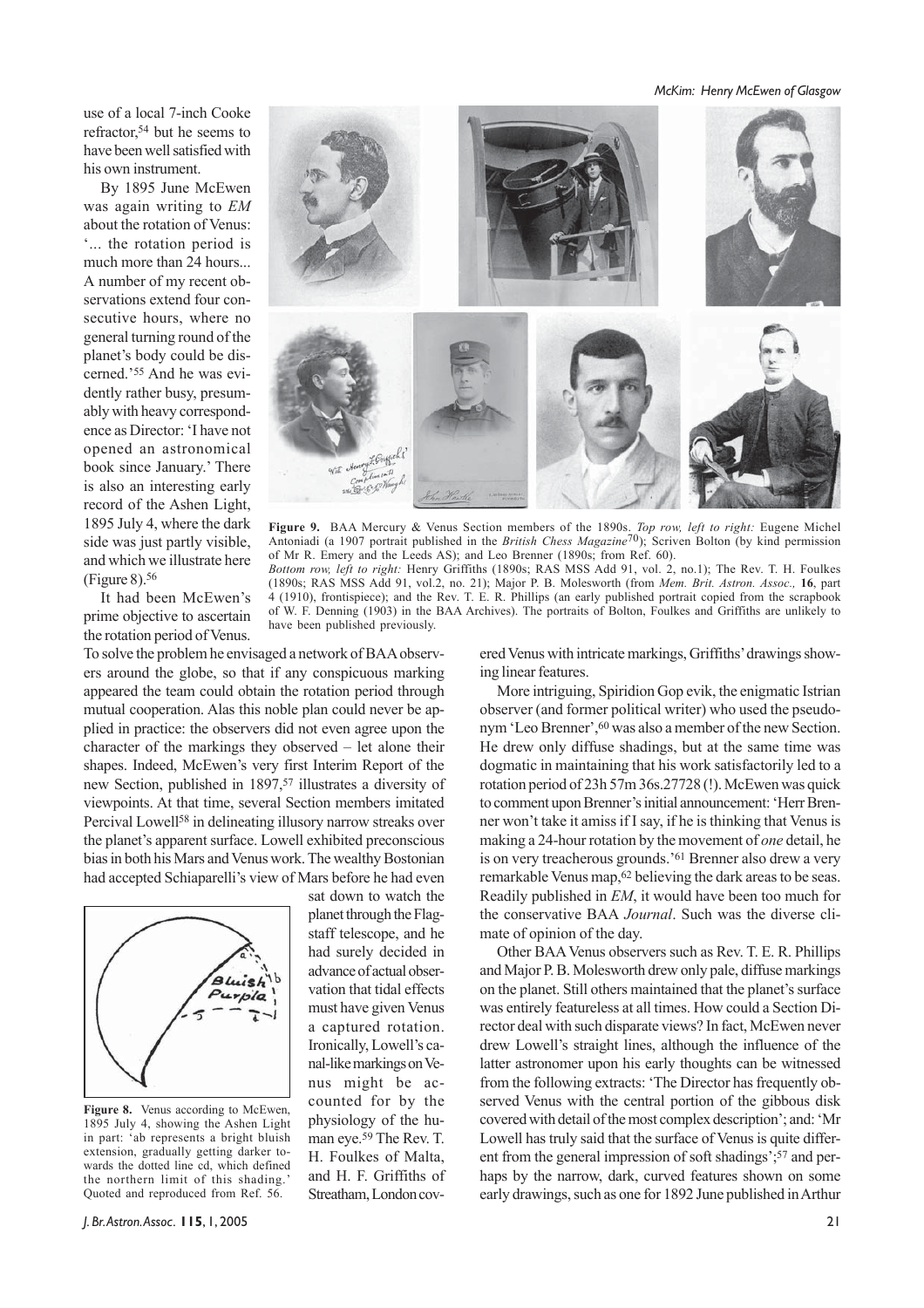*McKim: Henry McEwen of Glasgow*

use of a local 7-inch Cooke refractor,54 but he seems to have been well satisfied with his own instrument.

By 1895 June McEwen was again writing to *EM* about the rotation of Venus: '... the rotation period is much more than 24 hours... A number of my recent observations extend four consecutive hours, where no general turning round of the planet's body could be discerned.'55 And he was evidently rather busy, presumably with heavy correspondence as Director: 'I have not opened an astronomical book since January.' There is also an interesting early record of the Ashen Light, 1895 July 4, where the dark side was just partly visible, and which we illustrate here (Figure 8).56

It had been McEwen's prime objective to ascertain the rotation period of Venus.



**Figure 9.** BAA Mercury & Venus Section members of the 1890s. *Top row, left to right:* Eugene Michel Antoniadi (a 1907 portrait published in the *British Chess Magazine*70); Scriven Bolton (by kind permission of Mr R. Emery and the Leeds AS); and Leo Brenner (1890s; from Ref. 60).

*Bottom row, left to right:* Henry Griffiths (1890s; RAS MSS Add 91, vol. 2, no.1); The Rev. T. H. Foulkes (1890s; RAS MSS Add 91, vol.2, no. 21); Major P. B. Molesworth (from *Mem. Brit. Astron. Assoc.,* **16**, part 4 (1910), frontispiece); and the Rev. T. E. R. Phillips (an early published portrait copied from the scrapbook of W. F. Denning (1903) in the BAA Archives). The portraits of Bolton, Foulkes and Griffiths are unlikely to have been published previously.

To solve the problem he envisaged a network of BAA observers around the globe, so that if any conspicuous marking appeared the team could obtain the rotation period through mutual cooperation. Alas this noble plan could never be applied in practice: the observers did not even agree upon the character of the markings they observed – let alone their shapes. Indeed, McEwen's very first Interim Report of the new Section, published in 1897,<sup>57</sup> illustrates a diversity of viewpoints. At that time, several Section members imitated Percival Lowell<sup>58</sup> in delineating illusory narrow streaks over the planet's apparent surface. Lowell exhibited preconscious bias in both his Mars and Venus work. The wealthy Bostonian had accepted Schiaparelli's view of Mars before he had even



Figure 8. Venus according to McEwen, 1895 July 4, showing the Ashen Light in part: 'ab represents a bright bluish extension, gradually getting darker towards the dotted line cd, which defined the northern limit of this shading.' Quoted and reproduced from Ref. 56.

sat down to watch the planet through the Flagstaff telescope, and he had surely decided in advance of actual observation that tidal effects must have given Venus a captured rotation. Ironically, Lowell's canal-like markings on Venus might be accounted for by the physiology of the human eye.59 The Rev. T. H. Foulkes of Malta, and H. F. Griffiths of Streatham, London covered Venus with intricate markings, Griffiths' drawings showing linear features.

More intriguing, Spiridion Gop evik, the enigmatic Istrian observer (and former political writer) who used the pseudonym 'Leo Brenner', <sup>60</sup> was also a member of the new Section. He drew only diffuse shadings, but at the same time was dogmatic in maintaining that his work satisfactorily led to a rotation period of 23h 57m 36s.27728 (!). McEwen was quick to comment upon Brenner's initial announcement: 'Herr Brenner won't take it amiss if I say, if he is thinking that Venus is making a 24-hour rotation by the movement of *one* detail, he is on very treacherous grounds.'61 Brenner also drew a very remarkable Venus map,<sup>62</sup> believing the dark areas to be seas. Readily published in *EM*, it would have been too much for the conservative BAA *Journal*. Such was the diverse climate of opinion of the day.

Other BAA Venus observers such as Rev. T. E. R. Phillips and Major P. B. Molesworth drew only pale, diffuse markings on the planet. Still others maintained that the planet's surface was entirely featureless at all times. How could a Section Director deal with such disparate views? In fact, McEwen never drew Lowell's straight lines, although the influence of the latter astronomer upon his early thoughts can be witnessed from the following extracts: 'The Director has frequently observed Venus with the central portion of the gibbous disk covered with detail of the most complex description'; and: 'Mr Lowell has truly said that the surface of Venus is quite different from the general impression of soft shadings';<sup>57</sup> and perhaps by the narrow, dark, curved features shown on some early drawings, such as one for 1892 June published in Arthur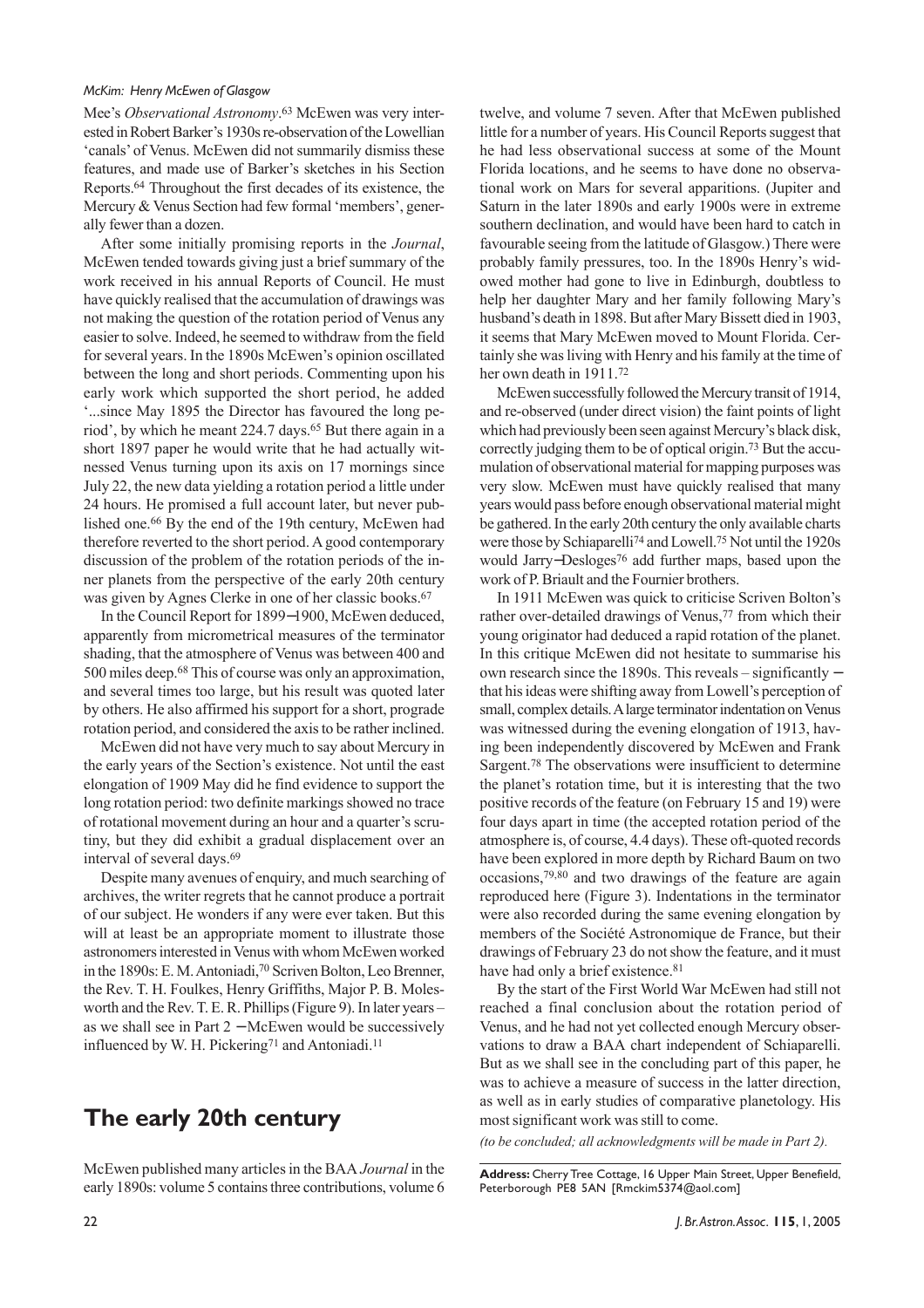Mee's *Observational Astronomy*. 63 McEwen was very interested in Robert Barker's 1930s re-observation of the Lowellian 'canals' of Venus. McEwen did not summarily dismiss these features, and made use of Barker's sketches in his Section Reports.64 Throughout the first decades of its existence, the Mercury & Venus Section had few formal 'members', generally fewer than a dozen.

After some initially promising reports in the *Journal*, McEwen tended towards giving just a brief summary of the work received in his annual Reports of Council. He must have quickly realised that the accumulation of drawings was not making the question of the rotation period of Venus any easier to solve. Indeed, he seemed to withdraw from the field for several years. In the 1890s McEwen's opinion oscillated between the long and short periods. Commenting upon his early work which supported the short period, he added '...since May 1895 the Director has favoured the long period', by which he meant 224.7 days.65 But there again in a short 1897 paper he would write that he had actually witnessed Venus turning upon its axis on 17 mornings since July 22, the new data yielding a rotation period a little under 24 hours. He promised a full account later, but never published one.66 By the end of the 19th century, McEwen had therefore reverted to the short period. A good contemporary discussion of the problem of the rotation periods of the inner planets from the perspective of the early 20th century was given by Agnes Clerke in one of her classic books.67

In the Council Report for 1899−1900, McEwen deduced, apparently from micrometrical measures of the terminator shading, that the atmosphere of Venus was between 400 and 500 miles deep.68 This of course was only an approximation, and several times too large, but his result was quoted later by others. He also affirmed his support for a short, prograde rotation period, and considered the axis to be rather inclined.

McEwen did not have very much to say about Mercury in the early years of the Section's existence. Not until the east elongation of 1909 May did he find evidence to support the long rotation period: two definite markings showed no trace of rotational movement during an hour and a quarter's scrutiny, but they did exhibit a gradual displacement over an interval of several days.69

Despite many avenues of enquiry, and much searching of archives, the writer regrets that he cannot produce a portrait of our subject. He wonders if any were ever taken. But this will at least be an appropriate moment to illustrate those astronomers interested in Venus with whom McEwen worked in the 1890s: E. M. Antoniadi,<sup>70</sup> Scriven Bolton, Leo Brenner, the Rev. T. H. Foulkes, Henry Griffiths, Major P. B. Molesworth and the Rev. T. E. R. Phillips (Figure 9). In later years – as we shall see in Part 2 − McEwen would be successively influenced by W. H. Pickering<sup>71</sup> and Antoniadi.<sup>11</sup>

### **The early 20th century**

McEwen published many articles in the BAA *Journal* in the early 1890s: volume 5 contains three contributions, volume 6 twelve, and volume 7 seven. After that McEwen published little for a number of years. His Council Reports suggest that he had less observational success at some of the Mount Florida locations, and he seems to have done no observational work on Mars for several apparitions. (Jupiter and Saturn in the later 1890s and early 1900s were in extreme southern declination, and would have been hard to catch in favourable seeing from the latitude of Glasgow.) There were probably family pressures, too. In the 1890s Henry's widowed mother had gone to live in Edinburgh, doubtless to help her daughter Mary and her family following Mary's husband's death in 1898. But after Mary Bissett died in 1903, it seems that Mary McEwen moved to Mount Florida. Certainly she was living with Henry and his family at the time of her own death in 1911.72

McEwen successfully followed the Mercury transit of 1914, and re-observed (under direct vision) the faint points of light which had previously been seen against Mercury's black disk, correctly judging them to be of optical origin.73 But the accumulation of observational material for mapping purposes was very slow. McEwen must have quickly realised that many years would pass before enough observational material might be gathered. In the early 20th century the only available charts were those by Schiaparelli74 and Lowell.75 Not until the 1920s would Jarry−Desloges76 add further maps, based upon the work of P. Briault and the Fournier brothers.

In 1911 McEwen was quick to criticise Scriven Bolton's rather over-detailed drawings of Venus,<sup>77</sup> from which their young originator had deduced a rapid rotation of the planet. In this critique McEwen did not hesitate to summarise his own research since the 1890s. This reveals – significantly − that his ideas were shifting away from Lowell's perception of small, complex details. A large terminator indentation on Venus was witnessed during the evening elongation of 1913, having been independently discovered by McEwen and Frank Sargent.78 The observations were insufficient to determine the planet's rotation time, but it is interesting that the two positive records of the feature (on February 15 and 19) were four days apart in time (the accepted rotation period of the atmosphere is, of course, 4.4 days). These oft-quoted records have been explored in more depth by Richard Baum on two occasions,79,80 and two drawings of the feature are again reproduced here (Figure 3). Indentations in the terminator were also recorded during the same evening elongation by members of the Société Astronomique de France, but their drawings of February 23 do not show the feature, and it must have had only a brief existence.<sup>81</sup>

By the start of the First World War McEwen had still not reached a final conclusion about the rotation period of Venus, and he had not yet collected enough Mercury observations to draw a BAA chart independent of Schiaparelli. But as we shall see in the concluding part of this paper, he was to achieve a measure of success in the latter direction, as well as in early studies of comparative planetology. His most significant work was still to come.

*(to be concluded; all acknowledgments will be made in Part 2).*

**Address:** Cherry Tree Cottage, 16 Upper Main Street, Upper Benefield, Peterborough PE8 5AN [Rmckim5374@aol.com]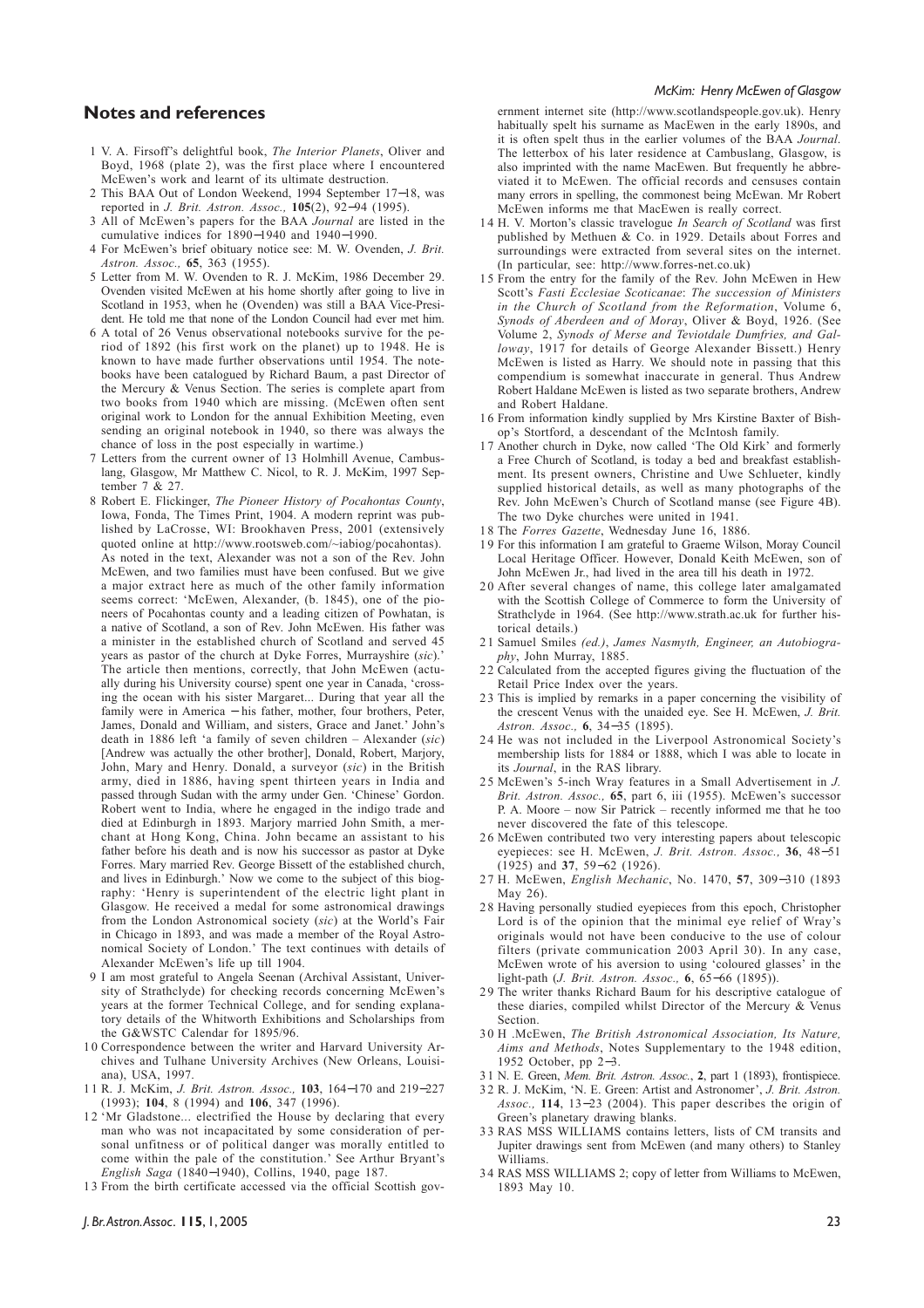#### **Notes and references**

- 1 V. A. Firsoff's delightful book, *The Interior Planets*, Oliver and Boyd, 1968 (plate 2), was the first place where I encountered McEwen's work and learnt of its ultimate destruction.
- 2 This BAA Out of London Weekend, 1994 September 17−18, was reported in *J. Brit. Astron. Assoc.,* **105**(2), 92−94 (1995).
- 3 All of McEwen's papers for the BAA *Journal* are listed in the cumulative indices for 1890−1940 and 1940−1990.
- 4 For McEwen's brief obituary notice see: M. W. Ovenden, *J. Brit. Astron. Assoc.,* **65**, 363 (1955).
- 5 Letter from M. W. Ovenden to R. J. McKim, 1986 December 29. Ovenden visited McEwen at his home shortly after going to live in Scotland in 1953, when he (Ovenden) was still a BAA Vice-President. He told me that none of the London Council had ever met him.
- 6 A total of 26 Venus observational notebooks survive for the period of 1892 (his first work on the planet) up to 1948. He is known to have made further observations until 1954. The notebooks have been catalogued by Richard Baum, a past Director of the Mercury & Venus Section. The series is complete apart from two books from 1940 which are missing. (McEwen often sent original work to London for the annual Exhibition Meeting, even sending an original notebook in 1940, so there was always the chance of loss in the post especially in wartime.)
- 7 Letters from the current owner of 13 Holmhill Avenue, Cambuslang, Glasgow, Mr Matthew C. Nicol, to R. J. McKim, 1997 September 7 & 27.
- 8 Robert E. Flickinger, *The Pioneer History of Pocahontas County*, Iowa, Fonda, The Times Print, 1904. A modern reprint was published by LaCrosse, WI: Brookhaven Press, 2001 (extensively quoted online at http://www.rootsweb.com/~iabiog/pocahontas). As noted in the text, Alexander was not a son of the Rev. John McEwen, and two families must have been confused. But we give a major extract here as much of the other family information seems correct: 'McEwen, Alexander, (b. 1845), one of the pioneers of Pocahontas county and a leading citizen of Powhatan, is a native of Scotland, a son of Rev. John McEwen. His father was a minister in the established church of Scotland and served 45 years as pastor of the church at Dyke Forres, Murrayshire (*sic*).' The article then mentions, correctly, that John McEwen (actually during his University course) spent one year in Canada, 'crossing the ocean with his sister Margaret... During that year all the family were in America − his father, mother, four brothers, Peter, James, Donald and William, and sisters, Grace and Janet.' John's death in 1886 left 'a family of seven children – Alexander (*sic*) [Andrew was actually the other brother], Donald, Robert, Marjory, John, Mary and Henry. Donald, a surveyor (*sic*) in the British army, died in 1886, having spent thirteen years in India and passed through Sudan with the army under Gen. 'Chinese' Gordon. Robert went to India, where he engaged in the indigo trade and died at Edinburgh in 1893. Marjory married John Smith, a merchant at Hong Kong, China. John became an assistant to his father before his death and is now his successor as pastor at Dyke Forres. Mary married Rev. George Bissett of the established church, and lives in Edinburgh.' Now we come to the subject of this biography: 'Henry is superintendent of the electric light plant in Glasgow. He received a medal for some astronomical drawings from the London Astronomical society (*sic*) at the World's Fair in Chicago in 1893, and was made a member of the Royal Astronomical Society of London.' The text continues with details of Alexander McEwen's life up till 1904.
- 9 I am most grateful to Angela Seenan (Archival Assistant, University of Strathclyde) for checking records concerning McEwen's years at the former Technical College, and for sending explanatory details of the Whitworth Exhibitions and Scholarships from the G&WSTC Calendar for 1895/96.
- 1 0 Correspondence between the writer and Harvard University Archives and Tulhane University Archives (New Orleans, Louisiana), USA, 1997.
- 11 R. J. McKim, *J. Brit. Astron. Assoc.,* **103**, 164−170 and 219−227 (1993); **104**, 8 (1994) and **106**, 347 (1996).
- 12 'Mr Gladstone... electrified the House by declaring that every man who was not incapacitated by some consideration of personal unfitness or of political danger was morally entitled to come within the pale of the constitution.' See Arthur Bryant's *English Saga* (1840−1940), Collins, 1940, page 187.
- 13 From the birth certificate accessed via the official Scottish gov-

ernment internet site (http://www.scotlandspeople.gov.uk). Henry habitually spelt his surname as MacEwen in the early 1890s, and it is often spelt thus in the earlier volumes of the BAA *Journal*. The letterbox of his later residence at Cambuslang, Glasgow, is also imprinted with the name MacEwen. But frequently he abbreviated it to McEwen. The official records and censuses contain many errors in spelling, the commonest being McEwan. Mr Robert McEwen informs me that MacEwen is really correct.

- 1 4 H. V. Morton's classic travelogue *In Search of Scotland* was first published by Methuen & Co. in 1929. Details about Forres and surroundings were extracted from several sites on the internet. (In particular, see: http://www.forres-net.co.uk)
- 1 5 From the entry for the family of the Rev. John McEwen in Hew Scott's *Fasti Ecclesiae Scoticanae*: *The succession of Ministers in the Church of Scotland from the Reformation*, Volume 6, *Synods of Aberdeen and of Moray*, Oliver & Boyd, 1926. (See Volume 2, *Synods of Merse and Teviotdale Dumfries, and Gal*loway, 1917 for details of George Alexander Bissett.) Henry McEwen is listed as Harry. We should note in passing that this compendium is somewhat inaccurate in general. Thus Andrew Robert Haldane McEwen is listed as two separate brothers, Andrew and Robert Haldane.
- 1 6 From information kindly supplied by Mrs Kirstine Baxter of Bishop's Stortford, a descendant of the McIntosh family.
- 17 Another church in Dyke, now called 'The Old Kirk' and formerly a Free Church of Scotland, is today a bed and breakfast establishment. Its present owners, Christine and Uwe Schlueter, kindly supplied historical details, as well as many photographs of the Rev. John McEwen's Church of Scotland manse (see Figure 4B). The two Dyke churches were united in 1941.
- 18 The *Forres Gazette*, Wednesday June 16, 1886.
- 1 9 For this information I am grateful to Graeme Wilson, Moray Council Local Heritage Officer. However, Donald Keith McEwen, son of John McEwen Jr., had lived in the area till his death in 1972.
- 20 After several changes of name, this college later amalgamated with the Scottish College of Commerce to form the University of Strathclyde in 1964. (See http://www.strath.ac.uk for further historical details.)
- 21 Samuel Smiles *(ed.)*, *James Nasmyth, Engineer, an Autobiography*, John Murray, 1885.
- 22 Calculated from the accepted figures giving the fluctuation of the Retail Price Index over the years.
- 23 This is implied by remarks in a paper concerning the visibility of the crescent Venus with the unaided eye. See H. McEwen, *J. Brit. Astron. Assoc.,* **6**, 34−35 (1895).
- 2 4 He was not included in the Liverpool Astronomical Society's membership lists for 1884 or 1888, which I was able to locate in its *Journal*, in the RAS library.
- 2 5 McEwen's 5-inch Wray features in a Small Advertisement in *J. Brit. Astron. Assoc.,* **65**, part 6, iii (1955). McEwen's successor P. A. Moore – now Sir Patrick – recently informed me that he too never discovered the fate of this telescope.
- 26 McEwen contributed two very interesting papers about telescopic eyepieces: see H. McEwen, *J. Brit. Astron. Assoc.,* **36**, 48−51 (1925) and **37**, 59−62 (1926).
- 27 H. McEwen, *English Mechanic*, No. 1470, **57**, 309−310 (1893 May 26).
- 28 Having personally studied eyepieces from this epoch, Christopher Lord is of the opinion that the minimal eye relief of Wray's originals would not have been conducive to the use of colour filters (private communication 2003 April 30). In any case, McEwen wrote of his aversion to using 'coloured glasses' in the light-path (*J. Brit. Astron. Assoc.,* **6**, 65−66 (1895)).
- 29 The writer thanks Richard Baum for his descriptive catalogue of these diaries, compiled whilst Director of the Mercury & Venus Section.
- 30 H .McEwen, *The British Astronomical Association, Its Nature, Aims and Methods*, Notes Supplementary to the 1948 edition, 1952 October, pp 2−3.
- 31 N. E. Green, *Mem. Brit. Astron. Assoc.*, **2**, part 1 (1893), frontispiece.
- 3 2 R. J. McKim, 'N. E. Green: Artist and Astronomer', *J. Brit. Astron. Assoc.,* **114**, 13−23 (2004). This paper describes the origin of Green's planetary drawing blanks.
- 33 RAS MSS WILLIAMS contains letters, lists of CM transits and Jupiter drawings sent from McEwen (and many others) to Stanley Williams.
- 3 4 RAS MSS WILLIAMS 2; copy of letter from Williams to McEwen, 1893 May 10.